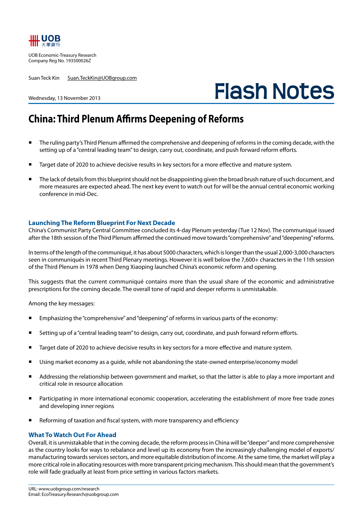

UOB Economic-Treasury Research Company Reg No. 193500026Z

Suan Teck Kin Suan.TeckKin@UOBgroup.com

# **Flash Notes**

#### Wednesday, 13 November 2013

## **China: Third Plenum Affirms Deepening of Reforms**

- The ruling party's Third Plenum affirmed the comprehensive and deepening of reforms in the coming decade, with the setting up of a "central leading team" to design, carry out, coordinate, and push forward reform efforts.
- Target date of 2020 to achieve decisive results in key sectors for a more effective and mature system.
- The lack of details from this blueprint should not be disappointing given the broad brush nature of such document, and more measures are expected ahead. The next key event to watch out for will be the annual central economic working conference in mid-Dec.

### **Launching The Reform Blueprint For Next Decade**

China's Communist Party Central Committee concluded its 4-day Plenum yesterday (Tue 12 Nov). The communiqué issued after the 18th session of the Third Plenum affirmed the continued move towards "comprehensive" and "deepening" reforms.

In terms of the length of the communiqué, it has about 5000 characters, which is longer than the usual 2,000-3,000 characters seen in communiqués in recent Third Plenary meetings. However it is well below the 7,600+ characters in the 11th session of the Third Plenum in 1978 when Deng Xiaoping launched China's economic reform and opening.

This suggests that the current communiqué contains more than the usual share of the economic and administrative prescriptions for the coming decade. The overall tone of rapid and deeper reforms is unmistakable.

Among the key messages:

- Emphasizing the "comprehensive" and "deepening" of reforms in various parts of the economy:
- Setting up of a "central leading team" to design, carry out, coordinate, and push forward reform efforts.
- Target date of 2020 to achieve decisive results in key sectors for a more effective and mature system.
- Using market economy as a guide, while not abandoning the state-owned enterprise/economy model
- Addressing the relationship between government and market, so that the latter is able to play a more important and critical role in resource allocation
- Participating in more international economic cooperation, accelerating the establishment of more free trade zones and developing inner regions
- Reforming of taxation and fiscal system, with more transparency and efficiency

## **What To Watch Out For Ahead**

Overall, it is unmistakable that in the coming decade, the reform process in China will be "deeper" and more comprehensive as the country looks for ways to rebalance and level up its economy from the increasingly challenging model of exports/ manufacturing towards services sectors, and more equitable distribution of income. At the same time, the market will play a more critical role in allocating resources with more transparent pricing mechanism. This should mean that the government's role will fade gradually at least from price setting in various factors markets.